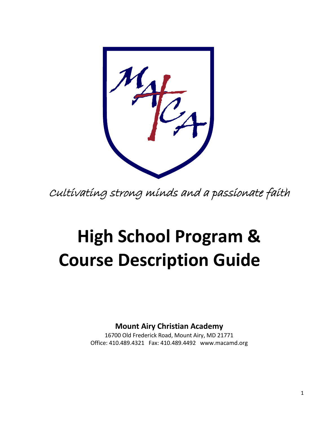Cultivating strong minds and a passionate faith

# **High School Program & Course Description Guide**

**Mount Airy Christian Academy**

16700 Old Frederick Road, Mount Airy, MD 21771 Office: 410.489.4321 Fax: 410.489.4492 www.macamd.org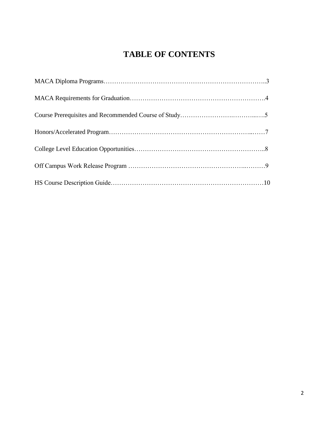# **TABLE OF CONTENTS**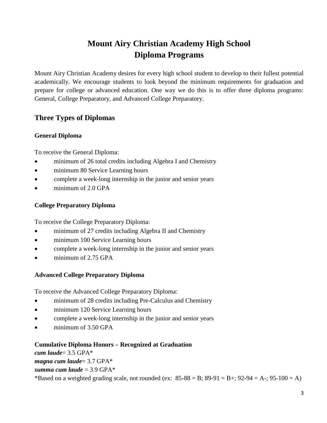# **Mount Airy Christian Academy High School Diploma Programs**

Mount Airy Christian Academy desires for every high school student to develop to their fullest potential academically. We encourage students to look beyond the minimum requirements for graduation and prepare for college or advanced education. One way we do this is to offer three diploma programs: General, College Preparatory, and Advanced College Preparatory.

# **Three Types of Diplomas**

#### **General Diploma**

To receive the General Diploma:

- minimum of 26 total credits including Algebra I and Chemistry
- minimum 80 Service Learning hours
- complete a week-long internship in the junior and senior years
- minimum of 2.0 GPA

#### **College Preparatory Diploma**

To receive the College Preparatory Diploma:

- minimum of 27 credits including Algebra II and Chemistry
- minimum 100 Service Learning hours
- complete a week-long internship in the junior and senior years
- minimum of 2.75 GPA

## **Advanced College Preparatory Diploma**

To receive the Advanced College Preparatory Diploma:

- minimum of 28 credits including Pre-Calculus and Chemistry
- minimum 120 Service Learning hours
- complete a week-long internship in the junior and senior years
- minimum of 3.50 GPA

#### **Cumulative Diploma Honors – Recognized at Graduation**

*cum laude*= 3.5 GPA\*

*magna cum laude*= 3.7 GPA\*  $summa cum laude = 3.9 GPA*$ 

\*Based on a weighted grading scale, not rounded (ex:  $85-88 = B$ ;  $89-91 = B$ +;  $92-94 = A$ -;  $95-100 = A$ )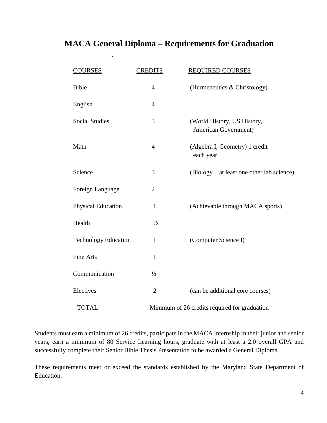# **MACA General Diploma – Requirements for Graduation**

| <b>COURSES</b>              | <b>CREDITS</b> | <b>REQUIRED COURSES</b>                             |
|-----------------------------|----------------|-----------------------------------------------------|
| <b>Bible</b>                | $\overline{4}$ | (Hermeneutics & Christology)                        |
| English                     | $\overline{4}$ |                                                     |
| <b>Social Studies</b>       | 3              | (World History, US History,<br>American Government) |
| Math                        | $\overline{4}$ | (Algebra I, Geometry) 1 credit<br>each year         |
| Science                     | 3              | (Biology + at least one other lab science)          |
| Foreign Language            | $\mathbf{2}$   |                                                     |
| <b>Physical Education</b>   | $\mathbf{1}$   | (Achievable through MACA sports)                    |
| Health                      | $\frac{1}{2}$  |                                                     |
| <b>Technology Education</b> | $\mathbf{1}$   | (Computer Science I)                                |
| <b>Fine Arts</b>            | $\mathbf{1}$   |                                                     |
| Communication               | $\frac{1}{2}$  |                                                     |
| Electives                   | $\mathbf{2}$   | (can be additional core courses)                    |
| <b>TOTAL</b>                |                | Minimum of 26 credits required for graduation       |

Students must earn a minimum of 26 credits, participate in the MACA internship in their junior and senior years, earn a minimum of 80 Service Learning hours, graduate with at least a 2.0 overall GPA and successfully complete their Senior Bible Thesis Presentation to be awarded a General Diploma.

These requirements meet or exceed the standards established by the Maryland State Department of Education.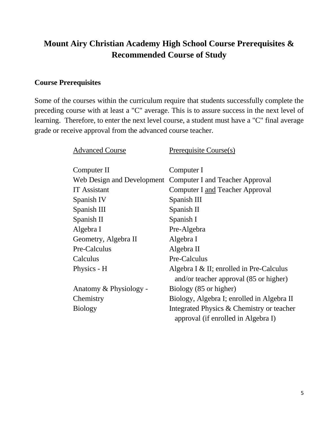# **Mount Airy Christian Academy High School Course Prerequisites & Recommended Course of Study**

### **Course Prerequisites**

Some of the courses within the curriculum require that students successfully complete the preceding course with at least a "C" average. This is to assure success in the next level of learning. Therefore, to enter the next level course, a student must have a "C" final average grade or receive approval from the advanced course teacher.

| <b>Advanced Course</b> | Prerequisite Course(s)                                     |
|------------------------|------------------------------------------------------------|
|                        |                                                            |
| Computer II            | Computer I                                                 |
|                        | Web Design and Development Computer I and Teacher Approval |
| <b>IT</b> Assistant    | <b>Computer I and Teacher Approval</b>                     |
| Spanish IV             | Spanish III                                                |
| Spanish III            | Spanish II                                                 |
| Spanish II             | Spanish I                                                  |
| Algebra I              | Pre-Algebra                                                |
| Geometry, Algebra II   | Algebra I                                                  |
| Pre-Calculus           | Algebra II                                                 |
| Calculus               | Pre-Calculus                                               |
| Physics - H            | Algebra I $&$ II; enrolled in Pre-Calculus                 |
|                        | and/or teacher approval (85 or higher)                     |
| Anatomy & Physiology - | Biology (85 or higher)                                     |
| Chemistry              | Biology, Algebra I; enrolled in Algebra II                 |
| <b>Biology</b>         | Integrated Physics & Chemistry or teacher                  |
|                        | approval (if enrolled in Algebra I)                        |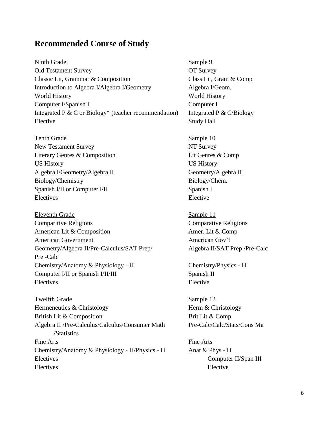# **Recommended Course of Study**

Ninth Grade Sample 9 Old Testament Survey **OT Survey OT Survey** Classic Lit, Grammar & Composition Class Lit, Gram & Comp Introduction to Algebra I/Algebra I/Geometry Algebra I/Geom. World History **World History** Computer I/Spanish I Computer I Integrated P & C or Biology\* (teacher recommendation) Integrated P & C/Biology Elective Study Hall

Tenth Grade Sample 10 New Testament Survey NT Survey Literary Genres & Composition Lit Genres & Comp US History US History Algebra I/Geometry/Algebra II Geometry/Algebra II Biology/Chemistry Biology/Chem. Spanish I/II or Computer I/II Spanish I Electives Elective

Eleventh Grade Sample 11 Comparitive Religions Comparative Religions American Lit & Composition **American Lit & Composition** American Government American Gov't Geometry/Algebra II/Pre-Calculus/SAT Prep/ Algebra II/SAT Prep /Pre-Calc Pre -Calc Chemistry/Anatomy & Physiology - H Chemistry/Physics - H Computer I/II or Spanish I/II/III Spanish II Electives Elective

Twelfth Grade Sample 12 Hermeneutics & Christology Herm & Christology British Lit & Composition Brit Lit & Comp Algebra II /Pre-Calculus/Calculus/Consumer Math Pre-Calc/Calc/Stats/Cons Ma /Statistics Fine Arts Fine Arts Chemistry/Anatomy & Physiology - H/Physics - H Anat & Phys - H Electives Computer II/Span III Electives Elective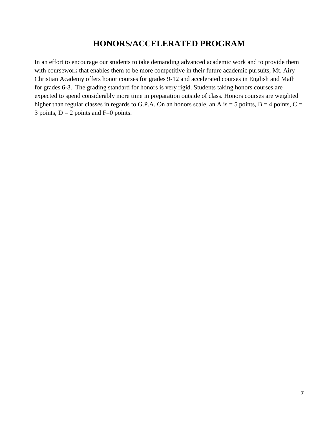# **HONORS/ACCELERATED PROGRAM**

In an effort to encourage our students to take demanding advanced academic work and to provide them with coursework that enables them to be more competitive in their future academic pursuits, Mt. Airy Christian Academy offers honor courses for grades 9-12 and accelerated courses in English and Math for grades 6-8. The grading standard for honors is very rigid. Students taking honors courses are expected to spend considerably more time in preparation outside of class. Honors courses are weighted higher than regular classes in regards to G.P.A. On an honors scale, an A is  $=$  5 points, B  $=$  4 points, C  $=$ 3 points,  $D = 2$  points and  $F=0$  points.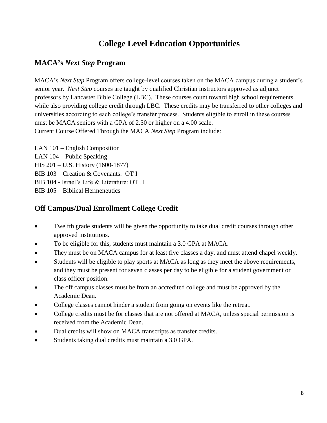# **College Level Education Opportunities**

# **MACA's** *Next Step* **Program**

MACA's *Next Step* Program offers college-level courses taken on the MACA campus during a student's senior year. *Next Step* courses are taught by qualified Christian instructors approved as adjunct professors by Lancaster Bible College (LBC). These courses count toward high school requirements while also providing college credit through LBC. These credits may be transferred to other colleges and universities according to each college's transfer process. Students eligible to enroll in these courses must be MACA seniors with a GPA of 2.50 or higher on a 4.00 scale. Current Course Offered Through the MACA *Next Step* Program include:

LAN 101 – English Composition LAN 104 – Public Speaking HIS 201 – U.S. History (1600-1877) BIB 103 – Creation & Covenants: OT I BIB 104 - Israel's Life & Literature: OT II BIB 105 – Biblical Hermeneutics

# **Off Campus/Dual Enrollment College Credit**

- Twelfth grade students will be given the opportunity to take dual credit courses through other approved institutions.
- To be eligible for this, students must maintain a 3.0 GPA at MACA.
- They must be on MACA campus for at least five classes a day, and must attend chapel weekly.
- Students will be eligible to play sports at MACA as long as they meet the above requirements, and they must be present for seven classes per day to be eligible for a student government or class officer position.
- The off campus classes must be from an accredited college and must be approved by the Academic Dean.
- College classes cannot hinder a student from going on events like the retreat.
- College credits must be for classes that are not offered at MACA, unless special permission is received from the Academic Dean.
- Dual credits will show on MACA transcripts as transfer credits.
- Students taking dual credits must maintain a 3.0 GPA.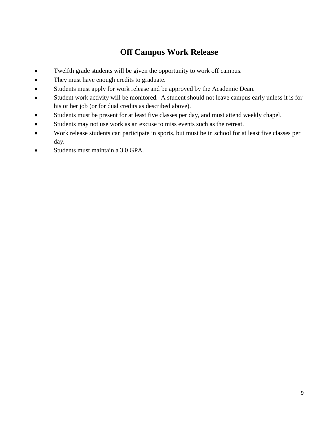# **Off Campus Work Release**

- Twelfth grade students will be given the opportunity to work off campus.
- They must have enough credits to graduate.
- Students must apply for work release and be approved by the Academic Dean.
- Student work activity will be monitored. A student should not leave campus early unless it is for his or her job (or for dual credits as described above).
- Students must be present for at least five classes per day, and must attend weekly chapel.
- Students may not use work as an excuse to miss events such as the retreat.
- Work release students can participate in sports, but must be in school for at least five classes per day.
- Students must maintain a 3.0 GPA.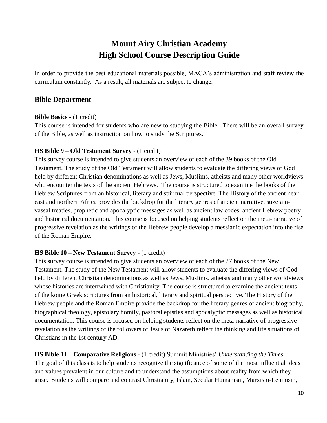# **Mount Airy Christian Academy High School Course Description Guide**

In order to provide the best educational materials possible, MACA's administration and staff review the curriculum constantly. As a result, all materials are subject to change.

## **Bible Department**

#### **Bible Basics** - (1 credit)

This course is intended for students who are new to studying the Bible. There will be an overall survey of the Bible, as well as instruction on how to study the Scriptures.

#### **HS Bible 9 – Old Testament Survey** - (1 credit)

This survey course is intended to give students an overview of each of the 39 books of the Old Testament. The study of the Old Testament will allow students to evaluate the differing views of God held by different Christian denominations as well as Jews, Muslims, atheists and many other worldviews who encounter the texts of the ancient Hebrews. The course is structured to examine the books of the Hebrew Scriptures from an historical, literary and spiritual perspective. The History of the ancient near east and northern Africa provides the backdrop for the literary genres of ancient narrative, suzerainvassal treaties, prophetic and apocalyptic messages as well as ancient law codes, ancient Hebrew poetry and historical documentation. This course is focused on helping students reflect on the meta-narrative of progressive revelation as the writings of the Hebrew people develop a messianic expectation into the rise of the Roman Empire.

#### **HS Bible 10 – New Testament Survey** - (1 credit)

This survey course is intended to give students an overview of each of the 27 books of the New Testament. The study of the New Testament will allow students to evaluate the differing views of God held by different Christian denominations as well as Jews, Muslims, atheists and many other worldviews whose histories are intertwined with Christianity. The course is structured to examine the ancient texts of the koine Greek scriptures from an historical, literary and spiritual perspective. The History of the Hebrew people and the Roman Empire provide the backdrop for the literary genres of ancient biography, biographical theology, epistolary homily, pastoral epistles and apocalyptic messages as well as historical documentation. This course is focused on helping students reflect on the meta-narrative of progressive revelation as the writings of the followers of Jesus of Nazareth reflect the thinking and life situations of Christians in the 1st century AD.

**HS Bible 11 – Comparative Religions** - (1 credit) Summit Ministries' *Understanding the Times* The goal of this class is to help students recognize the significance of some of the most influential ideas and values prevalent in our culture and to understand the assumptions about reality from which they arise. Students will compare and contrast Christianity, Islam, Secular Humanism, Marxism-Leninism,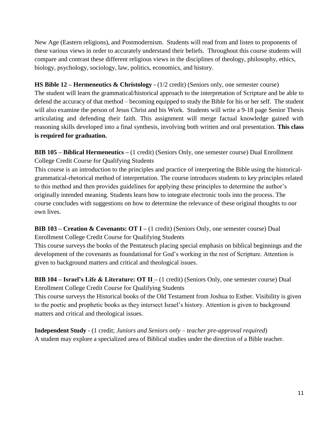New Age (Eastern religions), and Postmodernism. Students will read from and listen to proponents of these various views in order to accurately understand their beliefs. Throughout this course students will compare and contrast these different religious views in the disciplines of theology, philosophy, ethics, biology, psychology, sociology, law, politics, economics, and history.

#### **HS Bible 12 – Hermeneutics & Christology -** (1/2 credit) (Seniors only, one semester course)

The student will learn the grammatical/historical approach to the interpretation of Scripture and be able to defend the accuracy of that method – becoming equipped to study the Bible for his or her self. The student will also examine the person of Jesus Christ and his Work. Students will write a 9-18 page Senior Thesis articulating and defending their faith. This assignment will merge factual knowledge gained with reasoning skills developed into a final synthesis, involving both written and oral presentation. **This class is required for graduation.**

**BIB 105 – Biblical Hermeneutics –** (1 credit) (Seniors Only, one semester course) Dual Enrollment College Credit Course for Qualifying Students

This course is an introduction to the principles and practice of interpreting the Bible using the historicalgrammatical-rhetorical method of interpretation. The course introduces students to key principles related to this method and then provides guidelines for applying these principles to determine the author's originally intended meaning. Students learn how to integrate electronic tools into the process. The course concludes with suggestions on how to determine the relevance of these original thoughts to our own lives.

**BIB 103 – Creation & Covenants: OT I –** (1 credit) (Seniors Only, one semester course) Dual Enrollment College Credit Course for Qualifying Students

This course surveys the books of the Pentateuch placing special emphasis on biblical beginnings and the development of the covenants as foundational for God's working in the rest of Scripture. Attention is given to background matters and critical and theological issues.

**BIB 104 – Israel's Life & Literature: OT II –** (1 credit) (Seniors Only, one semester course) Dual Enrollment College Credit Course for Qualifying Students

This course surveys the Historical books of the Old Testament from Joshua to Esther. Visibility is given to the poetic and prophetic books as they intersect Israel's history. Attention is given to background matters and critical and theological issues.

**Independent Study** - (1 credit; *Juniors and Seniors only – teacher pre-approval required*) A student may explore a specialized area of Biblical studies under the direction of a Bible teacher.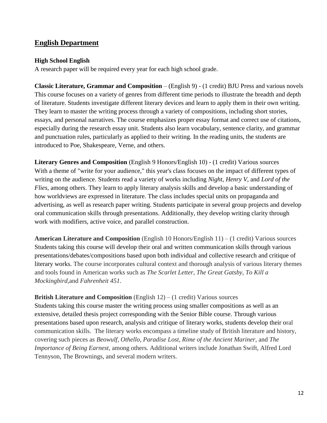## **English Department**

#### **High School English**

A research paper will be required every year for each high school grade.

**Classic Literature, Grammar and Composition** – (English 9) - (1 credit) BJU Press and various novels This course focuses on a variety of genres from different time periods to illustrate the breadth and depth of literature. Students investigate different literary devices and learn to apply them in their own writing. They learn to master the writing process through a variety of compositions, including short stories, essays, and personal narratives. The course emphasizes proper essay format and correct use of citations, especially during the research essay unit. Students also learn vocabulary, sentence clarity, and grammar and punctuation rules, particularly as applied to their writing. In the reading units, the students are introduced to Poe, Shakespeare, Verne, and others.

**Literary Genres and Composition** (English 9 Honors/English 10) - (1 credit) Various sources With a theme of "write for your audience," this year's class focuses on the impact of different types of writing on the audience. Students read a variety of works including *Night*, *Henry V,* and *Lord of the Flies,* among others. They learn to apply literary analysis skills and develop a basic understanding of how worldviews are expressed in literature. The class includes special units on propaganda and advertising, as well as research paper writing. Students participate in several group projects and develop oral communication skills through presentations. Additionally, they develop writing clarity through work with modifiers, active voice, and parallel construction.

**American Literature and Composition** (English 10 Honors/English 11) – (1 credit) Various sources Students taking this course will develop their oral and written communication skills through various presentations/debates/compositions based upon both individual and collective research and critique of literary works. The course incorporates cultural context and thorough analysis of various literary themes and tools found in American works such as *The Scarlet Letter, The Great Gatsby, To Kill a Mockingbird,*and *Fahrenheit 451*.

**British Literature and Composition** (English 12) – (1 credit) Various sources

Students taking this course master the writing process using smaller compositions as well as an extensive, detailed thesis project corresponding with the Senior Bible course. Through various presentations based upon research, analysis and critique of literary works, students develop their oral communication skills. The literary works encompass a timeline study of British literature and history, covering such pieces as *Beowulf, Othello, Paradise Lost, Rime of the Ancient Mariner,* and *The Importance of Being Earnest,* among others*.* Additional writers include Jonathan Swift, Alfred Lord Tennyson, The Brownings, and several modern writers.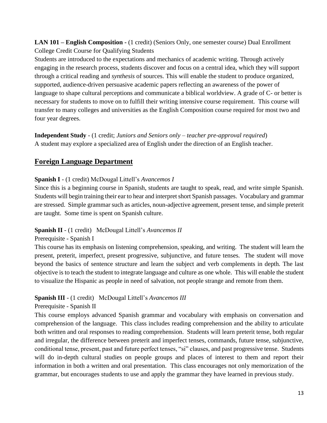**LAN 101 – English Composition -** (1 credit) (Seniors Only, one semester course) Dual Enrollment College Credit Course for Qualifying Students

Students are introduced to the expectations and mechanics of academic writing. Through actively engaging in the research process, students discover and focus on a central idea, which they will support through a critical reading and *synthesis* of sources. This will enable the student to produce organized, supported, audience-driven persuasive academic papers reflecting an awareness of the power of language to shape cultural perceptions and communicate a biblical worldview. A grade of C- or better is necessary for students to move on to fulfill their writing intensive course requirement. This course will transfer to many colleges and universities as the English Composition course required for most two and four year degrees.

**Independent Study** - (1 credit; *Juniors and Seniors only – teacher pre-approval required*) A student may explore a specialized area of English under the direction of an English teacher.

## **Foreign Language Department**

#### **Spanish I** - (1 credit) McDougal Littell's *Avancemos I*

Since this is a beginning course in Spanish, students are taught to speak, read, and write simple Spanish. Students will begin training their ear to hear and interpret short Spanish passages. Vocabulary and grammar are stressed. Simple grammar such as articles, noun-adjective agreement, present tense, and simple preterit are taught. Some time is spent on Spanish culture.

#### **Spanish II** - (1 credit) McDougal Littell's *Avancemos II*

#### Prerequisite - Spanish I

This course has its emphasis on listening comprehension, speaking, and writing. The student will learn the present, preterit, imperfect, present progressive, subjunctive, and future tenses. The student will move beyond the basics of sentence structure and learn the subject and verb complements in depth. The last objective is to teach the student to integrate language and culture as one whole. This will enable the student to visualize the Hispanic as people in need of salvation, not people strange and remote from them.

#### **Spanish III** - (1 credit) McDougal Littell's *Avancemos III*

#### Prerequisite - Spanish II

This course employs advanced Spanish grammar and vocabulary with emphasis on conversation and comprehension of the language. This class includes reading comprehension and the ability to articulate both written and oral responses to reading comprehension. Students will learn preterit tense, both regular and irregular, the difference between preterit and imperfect tenses, commands, future tense, subjunctive, conditional tense, present, past and future perfect tenses, "si" clauses, and past progressive tense. Students will do in-depth cultural studies on people groups and places of interest to them and report their information in both a written and oral presentation. This class encourages not only memorization of the grammar, but encourages students to use and apply the grammar they have learned in previous study.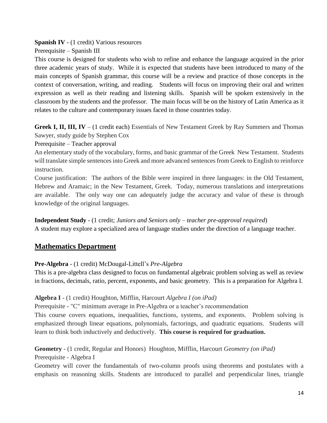**Spanish IV** - (1 credit) Various resources

Prerequisite – Spanish III

This course is designed for students who wish to refine and enhance the language acquired in the prior three academic years of study. While it is expected that students have been introduced to many of the main concepts of Spanish grammar, this course will be a review and practice of those concepts in the context of conversation, writing, and reading. Students will focus on improving their oral and written expression as well as their reading and listening skills. Spanish will be spoken extensively in the classroom by the students and the professor. The main focus will be on the history of Latin America as it relates to the culture and contemporary issues faced in those countries today.

**Greek I, II, III, IV** – (1 credit each) Essentials of New Testament Greek by Ray Summers and Thomas Sawyer, study guide by Stephen Cox

Prerequisite – Teacher approval

An elementary study of the vocabulary, forms, and basic grammar of the Greek New Testament. Students will translate simple sentences into Greek and more advanced sentences from Greek to English to reinforce instruction.

Course justification: The authors of the Bible were inspired in three languages: in the Old Testament, Hebrew and Aramaic; in the New Testament, Greek. Today, numerous translations and interpretations are available. The only way one can adequately judge the accuracy and value of these is through knowledge of the original languages.

## **Independent Study** - (1 credit; *Juniors and Seniors only – teacher pre-approval required*)

A student may explore a specialized area of language studies under the direction of a language teacher.

## **Mathematics Department**

#### **Pre-Algebra** - (1 credit) McDougal-Littell's *Pre-Algebra*

This is a pre-algebra class designed to focus on fundamental algebraic problem solving as well as review in fractions, decimals, ratio, percent, exponents, and basic geometry. This is a preparation for Algebra I.

#### **Algebra I** - (1 credit) Houghton, Mifflin, Harcourt *Algebra I (on iPad)*

Prerequisite - "C" minimum average in Pre-Algebra or a teacher's recommendation

This course covers equations, inequalities, functions, systems, and exponents. Problem solving is emphasized through linear equations, polynomials, factorings, and quadratic equations. Students will learn to think both inductively and deductively. **This course is required for graduation.**

#### **Geometry** - (1 credit, Regular and Honors) Houghton, Mifflin, Harcourt *Geometry (on iPad)* Prerequisite - Algebra I

Geometry will cover the fundamentals of two-column proofs using theorems and postulates with a emphasis on reasoning skills. Students are introduced to parallel and perpendicular lines, triangle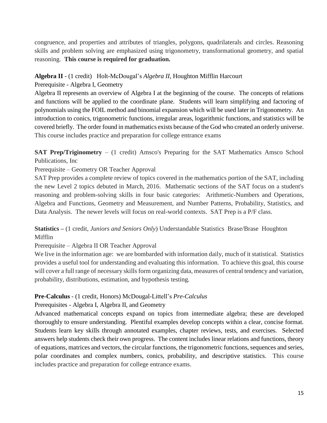congruence, and properties and attributes of triangles, polygons, quadrilaterals and circles. Reasoning skills and problem solving are emphasized using trigonometry, transformational geometry, and spatial reasoning. **This course is required for graduation.**

#### **Algebra II** - (1 credit) Holt-McDougal's *Algebra II*, Houghton Mifflin Harcourt

#### Prerequisite - Algebra I, Geometry

Algebra II represents an overview of Algebra I at the beginning of the course. The concepts of relations and functions will be applied to the coordinate plane. Students will learn simplifying and factoring of polynomials using the FOIL method and binomial expansion which will be used later in Trigonometry. An introduction to conics, trigonometric functions, irregular areas, logarithmic functions, and statistics will be covered briefly. The order found in mathematics exists because of the God who created an orderly universe. This course includes practice and preparation for college entrance exams

**SAT Prep/Triginometry** – (1 credit) Amsco's Preparing for the SAT Mathematics Amsco School Publications, Inc

#### Prerequisite – Geometry OR Teacher Approval

SAT Prep provides a complete review of topics covered in the mathematics portion of the SAT, including the new Level 2 topics debuted in March, 2016. Mathematic sections of the SAT focus on a student's reasoning and problem-solving skills in four basic categories: Arithmetic-Numbers and Operations, Algebra and Functions, Geometry and Measurement, and Number Patterns, Probability, Statistics, and Data Analysis. The newer levels will focus on real-world contexts. SAT Prep is a P/F class.

#### **Statistics –** (1 credit, *Juniors and Seniors Only*) Understandable Statistics Brase/Brase Houghton Mifflin

#### Prerequisite – Algebra II OR Teacher Approval

We live in the information age: we are bombarded with information daily, much of it statistical. Statistics provides a useful tool for understanding and evaluating this information. To achieve this goal, this course will cover a full range of necessary skills form organizing data, measures of central tendency and variation, probability, distributions, estimation, and hypothesis testing.

#### **Pre-Calculus** - (1 credit, Honors) McDougal-Littell's *Pre-Calculus*

## Prerequisites - Algebra I, Algebra II, and Geometry

Advanced mathematical concepts expand on topics from intermediate algebra; these are developed thoroughly to ensure understanding. Plentiful examples develop concepts within a clear, concise format. Students learn key skills through annotated examples, chapter reviews, tests, and exercises. Selected answers help students check their own progress. The content includes linear relations and functions, theory of equations, matrices and vectors, the circular functions, the trigonometric functions, sequences and series, polar coordinates and complex numbers, conics, probability, and descriptive statistics. This course includes practice and preparation for college entrance exams.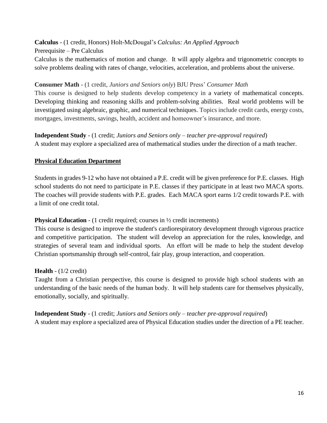## **Calculus** - (1 credit, Honors) Holt-McDougal's *Calculus: An Applied Approach*

#### Prerequisite – Pre Calculus

Calculus is the mathematics of motion and change. It will apply algebra and trigonometric concepts to solve problems dealing with rates of change, velocities, acceleration, and problems about the universe.

#### **Consumer Math** - (1 credit, *Juniors and Seniors only*) BJU Press' *Consumer Math*

This course is designed to help students develop competency in a variety of mathematical concepts. Developing thinking and reasoning skills and problem-solving abilities. Real world problems will be investigated using algebraic, graphic, and numerical techniques. Topics include credit cards, energy costs, mortgages, investments, savings, health, accident and homeowner's insurance, and more.

# **Independent Study** - (1 credit; *Juniors and Seniors only – teacher pre-approval required*)

A student may explore a specialized area of mathematical studies under the direction of a math teacher.

#### **Physical Education Department**

Students in grades 9-12 who have not obtained a P.E. credit will be given preference for P.E. classes. High school students do not need to participate in P.E. classes if they participate in at least two MACA sports. The coaches will provide students with P.E. grades. Each MACA sport earns 1/2 credit towards P.E. with a limit of one credit total.

#### **Physical Education** - (1 credit required; courses in  $\frac{1}{2}$  credit increments)

This course is designed to improve the student's cardiorespiratory development through vigorous practice and competitive participation. The student will develop an appreciation for the rules, knowledge, and strategies of several team and individual sports. An effort will be made to help the student develop Christian sportsmanship through self-control, fair play, group interaction, and cooperation.

#### **Health** - (1/2 credit)

Taught from a Christian perspective, this course is designed to provide high school students with an understanding of the basic needs of the human body. It will help students care for themselves physically, emotionally, socially, and spiritually.

**Independent Study** - (1 credit; *Juniors and Seniors only – teacher pre-approval required*) A student may explore a specialized area of Physical Education studies under the direction of a PE teacher.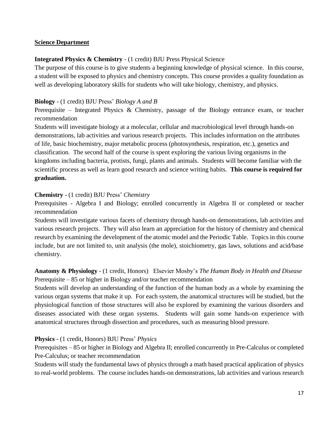#### **Science Department**

#### **Integrated Physics & Chemistry** - (1 credit) BJU Press Physical Science

The purpose of this course is to give students a beginning knowledge of physical science. In this course, a student will be exposed to physics and chemistry concepts. This course provides a quality foundation as well as developing laboratory skills for students who will take biology, chemistry, and physics.

#### **Biology** - (1 credit) BJU Press' *Biology A and B*

Prerequisite – Integrated Physics & Chemistry, passage of the Biology entrance exam, or teacher recommendation

Students will investigate biology at a molecular, cellular and macrobiological level through hands-on demonstrations, lab activities and various research projects. This includes information on the attributes of life, basic biochemistry, major metabolic process (photosynthesis, respiration, etc.), genetics and classification. The second half of the course is spent exploring the various living organisms in the kingdoms including bacteria, protists, fungi, plants and animals. Students will become familiar with the scientific process as well as learn good research and science writing habits. **This course is required for graduation.**

#### **Chemistry** - (1 credit) BJU Press' *Chemistry*

Prerequisites - Algebra I and Biology; enrolled concurrently in Algebra II or completed or teacher recommendation

Students will investigate various facets of chemistry through hands-on demonstrations, lab activities and various research projects. They will also learn an appreciation for the history of chemistry and chemical research by examining the development of the atomic model and the Periodic Table. Topics in this course include, but are not limited to, unit analysis (the mole), stoichiometry, gas laws, solutions and acid/base chemistry.

#### **Anatomy & Physiology** - (1 credit, Honors) Elsevier Mosby's *The Human Body in Health and Disease* Prerequisite – 85 or higher in Biology and/or teacher recommendation

Students will develop an understanding of the function of the human body as a whole by examining the various organ systems that make it up. For each system, the anatomical structures will be studied, but the physiological function of those structures will also be explored by examining the various disorders and diseases associated with these organ systems. Students will gain some hands-on experience with anatomical structures through dissection and procedures, such as measuring blood pressure.

#### **Physics** - (1 credit, Honors) BJU Press' *Physics*

Prerequisites – 85 or higher in Biology and Algebra II; enrolled concurrently in Pre-Calculus or completed Pre-Calculus; or teacher recommendation

Students will study the fundamental laws of physics through a math based practical application of physics to real-world problems. The course includes hands-on demonstrations, lab activities and various research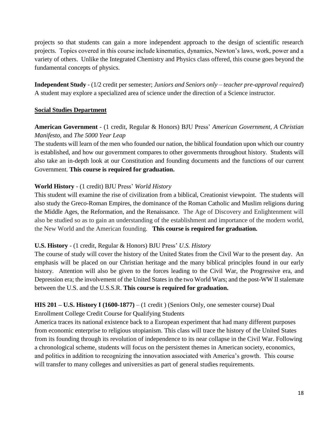projects so that students can gain a more independent approach to the design of scientific research projects. Topics covered in this course include kinematics, dynamics, Newton's laws, work, power and a variety of others. Unlike the Integrated Chemistry and Physics class offered, this course goes beyond the fundamental concepts of physics.

**Independent Study** - (1/2 credit per semester; *Juniors and Seniors only – teacher pre-approval required*) A student may explore a specialized area of science under the direction of a Science instructor.

#### **Social Studies Department**

#### **American Government** - (1 credit, Regular & Honors) BJU Press' *American Government, A Christian Manifesto,* and *The 5000 Year Leap*

The students will learn of the men who founded our nation, the biblical foundation upon which our country is established, and how our government compares to other governments throughout history. Students will also take an in-depth look at our Constitution and founding documents and the functions of our current Government. **This course is required for graduation.**

#### **World History** - (1 credit) BJU Press' *World History*

This student will examine the rise of civilization from a biblical, Creationist viewpoint. The students will also study the Greco-Roman Empires, the dominance of the Roman Catholic and Muslim religions during the Middle Ages, the Reformation, and the Renaissance. The Age of Discovery and Enlightenment will also be studied so as to gain an understanding of the establishment and importance of the modern world, the New World and the American founding. **This course is required for graduation.**

#### **U.S. History** - (1 credit, Regular & Honors) BJU Press' *U.S. History*

The course of study will cover the history of the United States from the Civil War to the present day. An emphasis will be placed on our Christian heritage and the many biblical principles found in our early history. Attention will also be given to the forces leading to the Civil War, the Progressive era, and Depression era; the involvement of the United States in the two World Wars; and the post-WW II stalemate between the U.S. and the U.S.S.R. **This course is required for graduation.**

# **HIS 201 – U.S. History I (1600-1877)** – (1 credit ) (Seniors Only, one semester course) Dual

Enrollment College Credit Course for Qualifying Students

America traces its national existence back to a European experiment that had many different purposes from economic enterprise to religious utopianism. This class will trace the history of the United States from its founding through its revolution of independence to its near collapse in the Civil War. Following a chronological scheme, students will focus on the persistent themes in American society, economics, and politics in addition to recognizing the innovation associated with America's growth. This course will transfer to many colleges and universities as part of general studies requirements.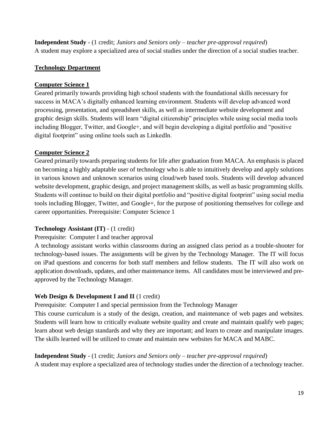**Independent Study** - (1 credit; *Juniors and Seniors only – teacher pre-approval required*) A student may explore a specialized area of social studies under the direction of a social studies teacher.

#### **Technology Department**

#### **Computer Science 1**

Geared primarily towards providing high school students with the foundational skills necessary for success in MACA's digitally enhanced learning environment. Students will develop advanced word processing, presentation, and spreadsheet skills, as well as intermediate website development and graphic design skills. Students will learn "digital citizenship" principles while using social media tools including Blogger, Twitter, and Google+, and will begin developing a digital portfolio and "positive digital footprint" using online tools such as LinkedIn.

#### **Computer Science 2**

Geared primarily towards preparing students for life after graduation from MACA. An emphasis is placed on becoming a highly adaptable user of technology who is able to intuitively develop and apply solutions in various known and unknown scenarios using cloud/web based tools. Students will develop advanced website development, graphic design, and project management skills, as well as basic programming skills. Students will continue to build on their digital portfolio and "positive digital footprint" using social media tools including Blogger, Twitter, and Google+, for the purpose of positioning themselves for college and career opportunities. Prerequisite: Computer Science 1

#### **Technology Assistant (IT)** - (1 credit)

#### Prerequisite: Computer I and teacher approval

A technology assistant works within classrooms during an assigned class period as a trouble-shooter for technology-based issues. The assignments will be given by the Technology Manager. The IT will focus on iPad questions and concerns for both staff members and fellow students. The IT will also work on application downloads, updates, and other maintenance items. All candidates must be interviewed and preapproved by the Technology Manager.

#### Web Design & Development I and II (1 credit)

Prerequisite: Computer I and special permission from the Technology Manager

This course curriculum is a study of the design, creation, and maintenance of web pages and websites. Students will learn how to critically evaluate website quality and create and maintain qualify web pages; learn about web design standards and why they are important; and learn to create and manipulate images. The skills learned will be utilized to create and maintain new websites for MACA and MABC.

#### **Independent Study** - (1 credit; *Juniors and Seniors only – teacher pre-approval required*)

A student may explore a specialized area of technology studies under the direction of a technology teacher.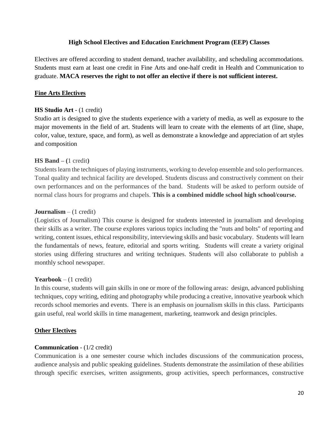#### **High School Electives and Education Enrichment Program (EEP) Classes**

Electives are offered according to student demand, teacher availability, and scheduling accommodations. Students must earn at least one credit in Fine Arts and one-half credit in Health and Communication to graduate. **MACA reserves the right to not offer an elective if there is not sufficient interest.**

#### **Fine Arts Electives**

#### **HS Studio Art** - (1 credit)

Studio art is designed to give the students experience with a variety of media, as well as exposure to the major movements in the field of art. Students will learn to create with the elements of art (line, shape, color, value, texture, space, and form), as well as demonstrate a knowledge and appreciation of art styles and composition

#### **HS Band – (**1 credit**)**

Students learn the techniques of playing instruments, working to develop ensemble and solo performances. Tonal quality and technical facility are developed. Students discuss and constructively comment on their own performances and on the performances of the band. Students will be asked to perform outside of normal class hours for programs and chapels. **This is a combined middle school high school/course.**

#### **Journalism** – (1 credit)

(Logistics of Journalism) This course is designed for students interested in journalism and developing their skills as a writer. The course explores various topics including the "nuts and bolts" of reporting and writing, content issues, ethical responsibility, interviewing skills and basic vocabulary. Students will learn the fundamentals of news, feature, editorial and sports writing. Students will create a variety original stories using differing structures and writing techniques. Students will also collaborate to publish a monthly school newspaper.

#### **Yearbook** – (1 credit)

In this course, students will gain skills in one or more of the following areas: design, advanced publishing techniques, copy writing, editing and photography while producing a creative, innovative yearbook which records school memories and events. There is an emphasis on journalism skills in this class. Participants gain useful, real world skills in time management, marketing, teamwork and design principles.

#### **Other Electives**

#### **Communication** - (1/2 credit)

Communication is a one semester course which includes discussions of the communication process, audience analysis and public speaking guidelines. Students demonstrate the assimilation of these abilities through specific exercises, written assignments, group activities, speech performances, constructive